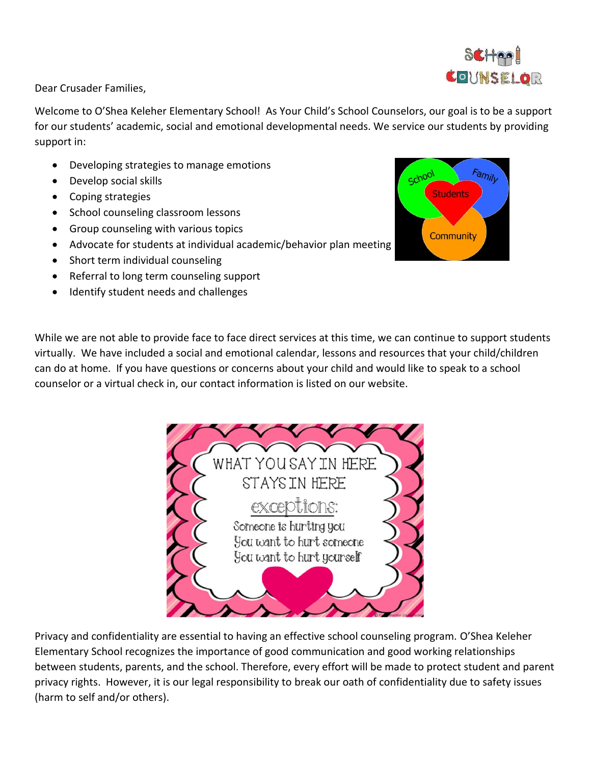

Dear Crusader Families,

Welcome to O'Shea Keleher Elementary School! As Your Child's School Counselors, our goal is to be a support for our students' academic, social and emotional developmental needs. We service our students by providing support in:

- Developing strategies to manage emotions
- Develop social skills
- Coping strategies
- School counseling classroom lessons
- Group counseling with various topics
- Advocate for students at individual academic/behavior plan meeting
- Short term individual counseling
- Referral to long term counseling support
- Identify student needs and challenges

While we are not able to provide face to face direct services at this time, we can continue to support students virtually. We have included a social and emotional calendar, lessons and resources that your child/children can do at home. If you have questions or concerns about your child and would like to speak to a school counselor or a virtual check in, our contact information is listed on our website.



Privacy and confidentiality are essential to having an effective school counseling program. O'Shea Keleher Elementary School recognizes the importance of good communication and good working relationships between students, parents, and the school. Therefore, every effort will be made to protect student and parent privacy rights. However, it is our legal responsibility to break our oath of confidentiality due to safety issues (harm to self and/or others).